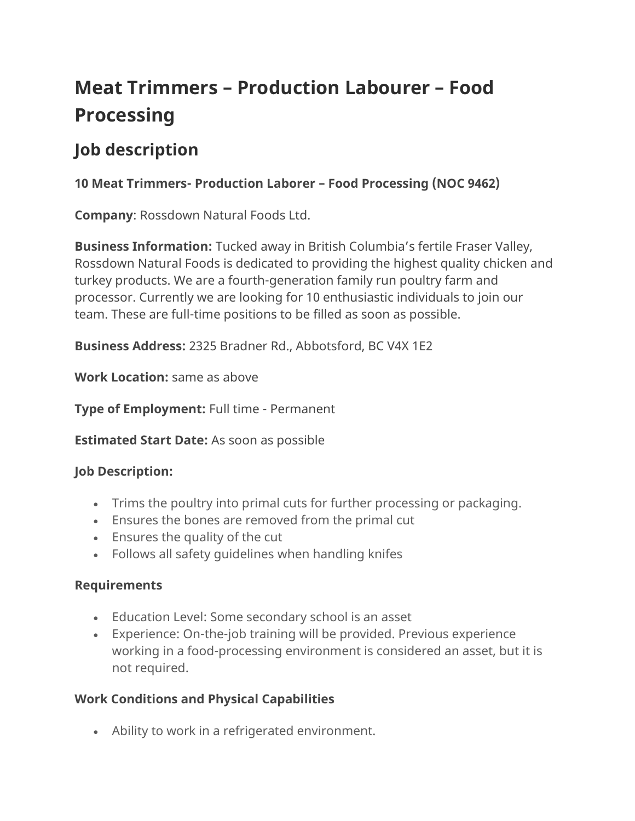# **Meat Trimmers – Production Labourer – Food Processing**

## **Job description**

### **10 Meat Trimmers- Production Laborer – Food Processing (NOC 9462)**

**Company**: Rossdown Natural Foods Ltd.

**Business Information:** Tucked away in British Columbia's fertile Fraser Valley, Rossdown Natural Foods is dedicated to providing the highest quality chicken and turkey products. We are a fourth-generation family run poultry farm and processor. Currently we are looking for 10 enthusiastic individuals to join our team. These are full-time positions to be filled as soon as possible.

**Business Address:** 2325 Bradner Rd., Abbotsford, BC V4X 1E2

**Work Location:** same as above

**Type of Employment:** Full time - Permanent

**Estimated Start Date:** As soon as possible

#### **Job Description:**

- Trims the poultry into primal cuts for further processing or packaging.
- Ensures the bones are removed from the primal cut
- Ensures the quality of the cut
- Follows all safety guidelines when handling knifes

#### **Requirements**

- Education Level: Some secondary school is an asset
- Experience: On-the-job training will be provided. Previous experience working in a food-processing environment is considered an asset, but it is not required.

#### **Work Conditions and Physical Capabilities**

• Ability to work in a refrigerated environment.